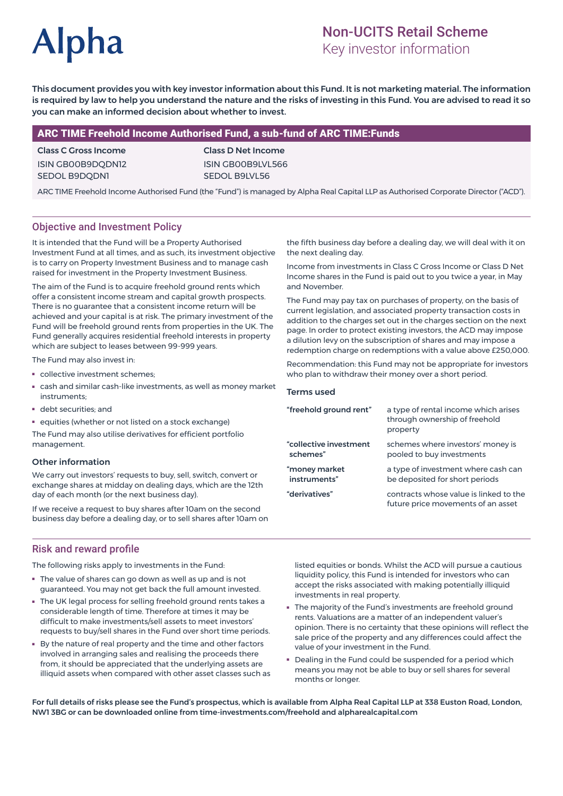# **Alpha**

# Non-UCITS Retail Scheme

Key investor information

This document provides you with key investor information about this Fund. It is not marketing material. The information is required by law to help you understand the nature and the risks of investing in this Fund. You are advised to read it so you can make an informed decision about whether to invest.

## ARC TIME Freehold Income Authorised Fund, a sub-fund of ARC TIME:Funds

Class C Gross Income ISIN GB00B9DQDN12 SEDOL B9DQDN1

Class D Net Income ISIN GB00B9LVL566 SEDOL B9LVL56

ARC TIME Freehold Income Authorised Fund (the "Fund") is managed by Alpha Real Capital LLP as Authorised Corporate Director ("ACD").

## Objective and Investment Policy

It is intended that the Fund will be a Property Authorised Investment Fund at all times, and as such, its investment objective is to carry on Property Investment Business and to manage cash raised for investment in the Property Investment Business.

The aim of the Fund is to acquire freehold ground rents which offer a consistent income stream and capital growth prospects. There is no guarantee that a consistent income return will be achieved and your capital is at risk. The primary investment of the Fund will be freehold ground rents from properties in the UK. The Fund generally acquires residential freehold interests in property which are subject to leases between 99-999 years.

The Fund may also invest in:

- collective investment schemes;
- cash and similar cash-like investments, as well as money market instruments;
- debt securities; and
- equities (whether or not listed on a stock exchange)

The Fund may also utilise derivatives for efficient portfolio management.

#### Other information

We carry out investors' requests to buy, sell, switch, convert or exchange shares at midday on dealing days, which are the 12th day of each month (or the next business day).

If we receive a request to buy shares after 10am on the second business day before a dealing day, or to sell shares after 10am on

the fifth business day before a dealing day, we will deal with it on the next dealing day.

Income from investments in Class C Gross Income or Class D Net Income shares in the Fund is paid out to you twice a year, in May and November.

The Fund may pay tax on purchases of property, on the basis of current legislation, and associated property transaction costs in addition to the charges set out in the charges section on the next page. In order to protect existing investors, the ACD may impose a dilution levy on the subscription of shares and may impose a redemption charge on redemptions with a value above £250,000.

Recommendation: this Fund may not be appropriate for investors who plan to withdraw their money over a short period.

#### Terms used

| "freehold ground rent" | a type of rental income which arises<br>through ownership of freehold<br>property |
|------------------------|-----------------------------------------------------------------------------------|
| "collective investment | schemes where investors' money is                                                 |
| schemes"               | pooled to buy investments                                                         |
| "money market          | a type of investment where cash can                                               |
| instruments"           | be deposited for short periods                                                    |
| "derivatives"          | contracts whose value is linked to the<br>future price movements of an asset      |

#### Risk and reward profile

The following risks apply to investments in the Fund:

- The value of shares can go down as well as up and is not guaranteed. You may not get back the full amount invested.
- The UK legal process for selling freehold ground rents takes a considerable length of time. Therefore at times it may be difficult to make investments/sell assets to meet investors' requests to buy/sell shares in the Fund over short time periods.
- By the nature of real property and the time and other factors involved in arranging sales and realising the proceeds there from, it should be appreciated that the underlying assets are illiquid assets when compared with other asset classes such as

listed equities or bonds. Whilst the ACD will pursue a cautious liquidity policy, this Fund is intended for investors who can accept the risks associated with making potentially illiquid investments in real property.

- The majority of the Fund's investments are freehold ground rents. Valuations are a matter of an independent valuer's opinion. There is no certainty that these opinions will reflect the sale price of the property and any differences could affect the value of your investment in the Fund.
- Dealing in the Fund could be suspended for a period which means you may not be able to buy or sell shares for several months or longer.

For full details of risks please see the Fund's prospectus, which is available from Alpha Real Capital LLP at 338 Euston Road, London, NW1 3BG or can be downloaded online from time-investments.com/freehold and alpharealcapital.com